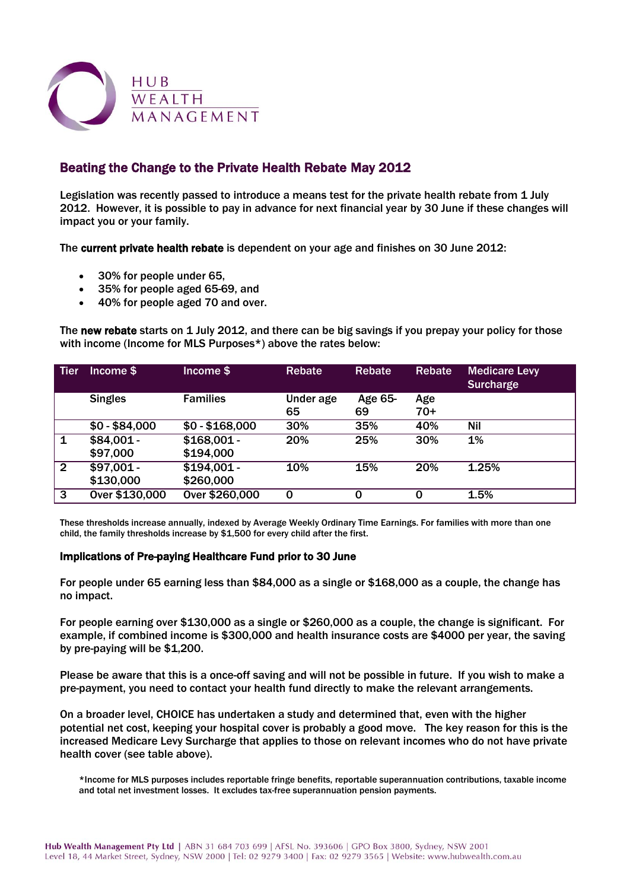

## Beating the Change to the Private Health Rebate May 2012

Legislation was recently passed to introduce a means test for the private health rebate from 1 July 2012. However, it is possible to pay in advance for next financial year by 30 June if these changes will impact you or your family.

The current private health rebate is dependent on your age and finishes on 30 June 2012:

- 30% for people under 65,
- 35% for people aged 65-69, and
- 40% for people aged 70 and over.

The new rebate starts on 1 July 2012, and there can be big savings if you prepay your policy for those with income (Income for MLS Purposes\*) above the rates below:

| <b>Tier</b>    | Income \$      | Income \$       | <b>Rebate</b>   | Rebate        | Rebate       | <b>Medicare Levy</b><br><b>Surcharge</b> |
|----------------|----------------|-----------------|-----------------|---------------|--------------|------------------------------------------|
|                | <b>Singles</b> | <b>Families</b> | Under age<br>65 | Age 65-<br>69 | Age<br>$70+$ |                                          |
|                | $$0 - $84,000$ | $$0 - $168,000$ | 30%             | 35%           | 40%          | Nil                                      |
| $\mathbf{1}$   | $$84,001 -$    | $$168,001 -$    | 20%             | 25%           | 30%          | 1%                                       |
|                | \$97,000       | \$194,000       |                 |               |              |                                          |
| $\overline{2}$ | $$97.001 -$    | $$194.001 -$    | 10%             | 15%           | 20%          | 1.25%                                    |
|                | \$130,000      | \$260,000       |                 |               |              |                                          |
| 3              | Over \$130,000 | Over \$260,000  | $\Omega$        | 0             | 0            | 1.5%                                     |

These thresholds increase annually, indexed by Average Weekly Ordinary Time Earnings. For families with more than one child, the family thresholds increase by \$1,500 for every child after the first.

## Implications of Pre-paying Healthcare Fund prior to 30 June

For people under 65 earning less than \$84,000 as a single or \$168,000 as a couple, the change has no impact.

For people earning over \$130,000 as a single or \$260,000 as a couple, the change is significant. For example, if combined income is \$300,000 and health insurance costs are \$4000 per year, the saving by pre-paying will be \$1,200.

Please be aware that this is a once-off saving and will not be possible in future. If you wish to make a pre-payment, you need to contact your health fund directly to make the relevant arrangements.

On a broader level, CHOICE has undertaken a study and determined that, even with the higher potential net cost, keeping your hospital cover is probably a good move. The key reason for this is the increased Medicare Levy Surcharge that applies to those on relevant incomes who do not have private health cover (see table above).

\*Income for MLS purposes includes reportable fringe benefits, reportable superannuation contributions, taxable income and total net investment losses. It excludes tax-free superannuation pension payments.